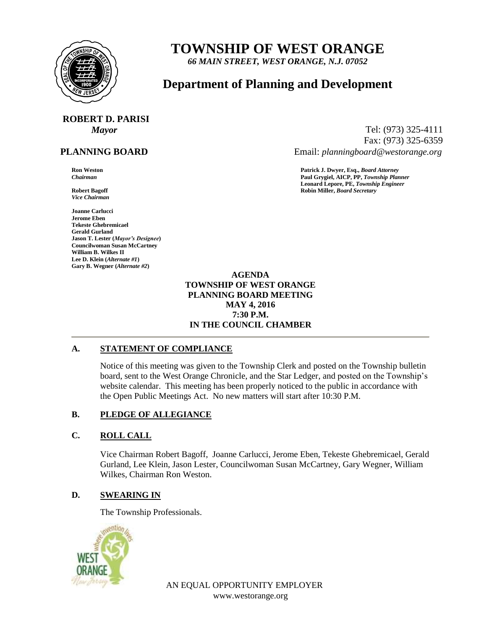

# **TOWNSHIP OF WEST ORANGE**

*66 MAIN STREET, WEST ORANGE, N.J. 07052*

# **Department of Planning and Development**

# **ROBERT D. PARISI**

# **PLANNING BOARD**

*Vice Chairman*

**Joanne Carlucci Jerome Eben Tekeste Ghebremicael Gerald Gurland Jason T. Lester (***Mayor's Designee***) Councilwoman Susan McCartney William B. Wilkes II Lee D. Klein (***Alternate #1***) Gary B. Wegner (***Alternate #2***)**

*Mayor* Tel: (973) 325-4111 Fax: (973) 325-6359 Email: *planningboard@westorange.org*

**Ron Weston Patrick J. Dwyer, Esq.,** *Board Attorney Chairman* **Paul Grygiel, AICP, PP,** *Township Planner* **Leonard Lepore, PE,** *Township Engineer* **Robert Bagoff Robin Miller,** *Board Secretary*

#### **AGENDA TOWNSHIP OF WEST ORANGE PLANNING BOARD MEETING MAY 4, 2016 7:30 P.M. IN THE COUNCIL CHAMBER**

#### **A. STATEMENT OF COMPLIANCE**

Notice of this meeting was given to the Township Clerk and posted on the Township bulletin board, sent to the West Orange Chronicle, and the Star Ledger, and posted on the Township's website calendar. This meeting has been properly noticed to the public in accordance with the Open Public Meetings Act. No new matters will start after 10:30 P.M.

# **B. PLEDGE OF ALLEGIANCE**

# **C. ROLL CALL**

Vice Chairman Robert Bagoff, Joanne Carlucci, Jerome Eben, Tekeste Ghebremicael, Gerald Gurland, Lee Klein, Jason Lester, Councilwoman Susan McCartney, Gary Wegner, William Wilkes, Chairman Ron Weston.

#### **D. SWEARING IN**

The Township Professionals.



AN EQUAL OPPORTUNITY EMPLOYER www.westorange.org